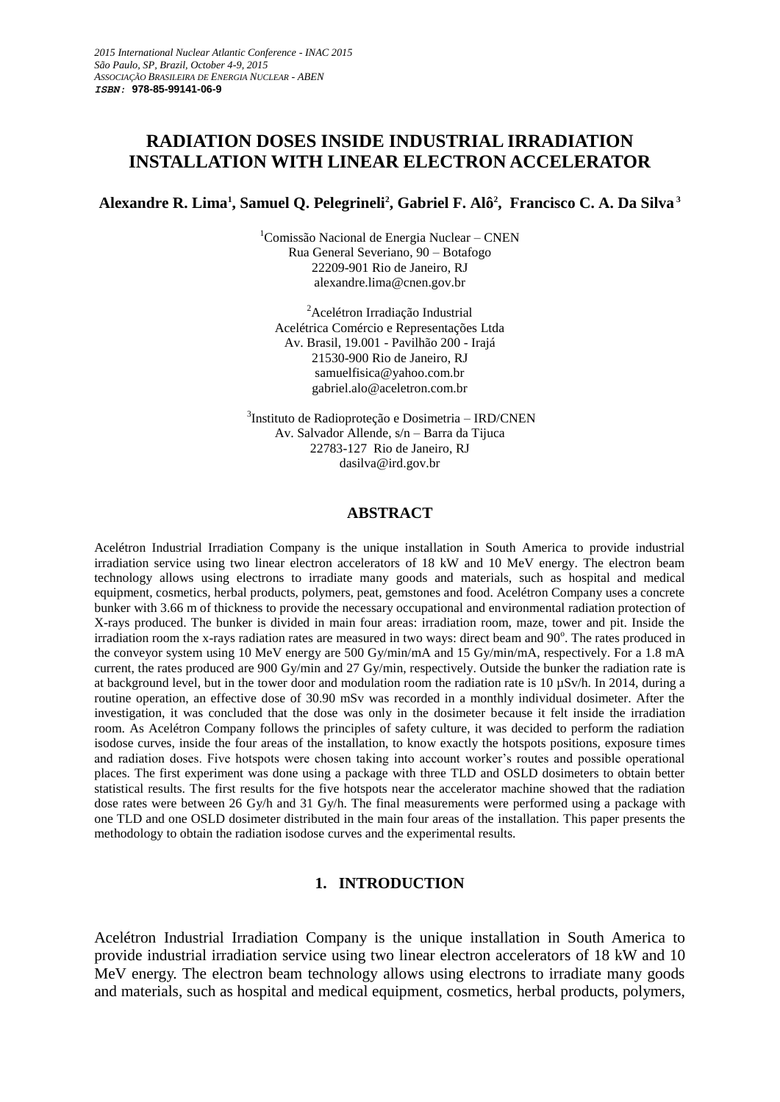# **RADIATION DOSES INSIDE INDUSTRIAL IRRADIATION INSTALLATION WITH LINEAR ELECTRON ACCELERATOR**

**Alexandre R. Lima<sup>1</sup> , Samuel Q. Pelegrineli<sup>2</sup> , Gabriel F. Alô<sup>2</sup> , Francisco C. A. Da Silva <sup>3</sup>**

<sup>1</sup>Comissão Nacional de Energia Nuclear – CNEN Rua General Severiano, 90 – Botafogo 22209-901 Rio de Janeiro, RJ alexandre.lima@cnen.gov.br

<sup>2</sup> Acelétron Irradiação Industrial Acelétrica Comércio e Representações Ltda Av. Brasil, 19.001 - Pavilhão 200 - Irajá 21530-900 Rio de Janeiro, RJ samuelfisica@yahoo.com.br gabriel.alo@aceletron.com.br

3 Instituto de Radioproteção e Dosimetria – IRD/CNEN Av. Salvador Allende, s/n – Barra da Tijuca 22783-127 Rio de Janeiro, RJ dasilva@ird.gov.br

#### **ABSTRACT**

Acelétron Industrial Irradiation Company is the unique installation in South America to provide industrial irradiation service using two linear electron accelerators of 18 kW and 10 MeV energy. The electron beam technology allows using electrons to irradiate many goods and materials, such as hospital and medical equipment, cosmetics, herbal products, polymers, peat, gemstones and food. Acelétron Company uses a concrete bunker with 3.66 m of thickness to provide the necessary occupational and environmental radiation protection of X-rays produced. The bunker is divided in main four areas: irradiation room, maze, tower and pit. Inside the irradiation room the x-rays radiation rates are measured in two ways: direct beam and 90°. The rates produced in the conveyor system using 10 MeV energy are 500 Gy/min/mA and 15 Gy/min/mA, respectively. For a 1.8 mA current, the rates produced are 900 Gy/min and 27 Gy/min, respectively. Outside the bunker the radiation rate is at background level, but in the tower door and modulation room the radiation rate is 10 µSv/h. In 2014, during a routine operation, an effective dose of 30.90 mSv was recorded in a monthly individual dosimeter. After the investigation, it was concluded that the dose was only in the dosimeter because it felt inside the irradiation room. As Acelétron Company follows the principles of safety culture, it was decided to perform the radiation isodose curves, inside the four areas of the installation, to know exactly the hotspots positions, exposure times and radiation doses. Five hotspots were chosen taking into account worker's routes and possible operational places. The first experiment was done using a package with three TLD and OSLD dosimeters to obtain better statistical results. The first results for the five hotspots near the accelerator machine showed that the radiation dose rates were between 26 Gy/h and 31 Gy/h. The final measurements were performed using a package with one TLD and one OSLD dosimeter distributed in the main four areas of the installation. This paper presents the methodology to obtain the radiation isodose curves and the experimental results.

### **1. INTRODUCTION**

Acelétron Industrial Irradiation Company is the unique installation in South America to provide industrial irradiation service using two linear electron accelerators of 18 kW and 10 MeV energy. The electron beam technology allows using electrons to irradiate many goods and materials, such as hospital and medical equipment, cosmetics, herbal products, polymers,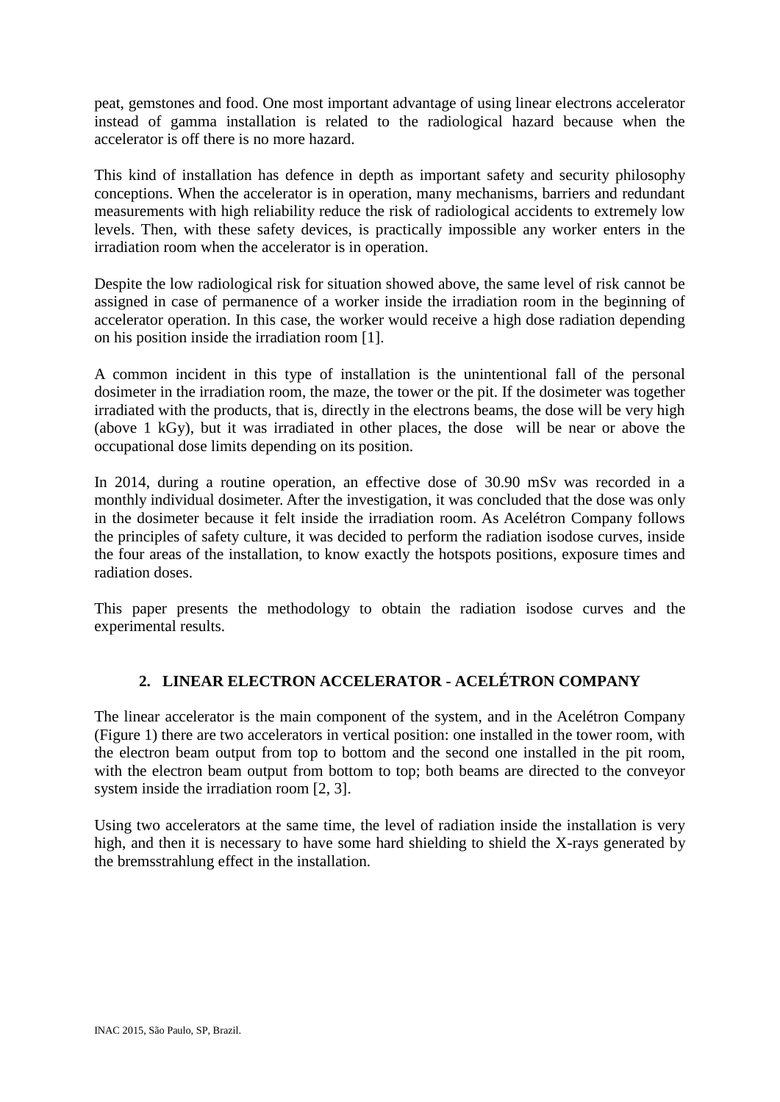peat, gemstones and food. One most important advantage of using linear electrons accelerator instead of gamma installation is related to the radiological hazard because when the accelerator is off there is no more hazard.

This kind of installation has defence in depth as important safety and security philosophy conceptions. When the accelerator is in operation, many mechanisms, barriers and redundant measurements with high reliability reduce the risk of radiological accidents to extremely low levels. Then, with these safety devices, is practically impossible any worker enters in the irradiation room when the accelerator is in operation.

Despite the low radiological risk for situation showed above, the same level of risk cannot be assigned in case of permanence of a worker inside the irradiation room in the beginning of accelerator operation. In this case, the worker would receive a high dose radiation depending on his position inside the irradiation room [1].

A common incident in this type of installation is the unintentional fall of the personal dosimeter in the irradiation room, the maze, the tower or the pit. If the dosimeter was together irradiated with the products, that is, directly in the electrons beams, the dose will be very high (above 1 kGy), but it was irradiated in other places, the dose will be near or above the occupational dose limits depending on its position.

In 2014, during a routine operation, an effective dose of 30.90 mSv was recorded in a monthly individual dosimeter. After the investigation, it was concluded that the dose was only in the dosimeter because it felt inside the irradiation room. As Acelétron Company follows the principles of safety culture, it was decided to perform the radiation isodose curves, inside the four areas of the installation, to know exactly the hotspots positions, exposure times and radiation doses.

This paper presents the methodology to obtain the radiation isodose curves and the experimental results.

# **2. LINEAR ELECTRON ACCELERATOR - ACELÉTRON COMPANY**

The linear accelerator is the main component of the system, and in the Acelétron Company (Figure 1) there are two accelerators in vertical position: one installed in the tower room, with the electron beam output from top to bottom and the second one installed in the pit room, with the electron beam output from bottom to top; both beams are directed to the conveyor system inside the irradiation room [2, 3].

Using two accelerators at the same time, the level of radiation inside the installation is very high, and then it is necessary to have some hard shielding to shield the X-rays generated by the bremsstrahlung effect in the installation.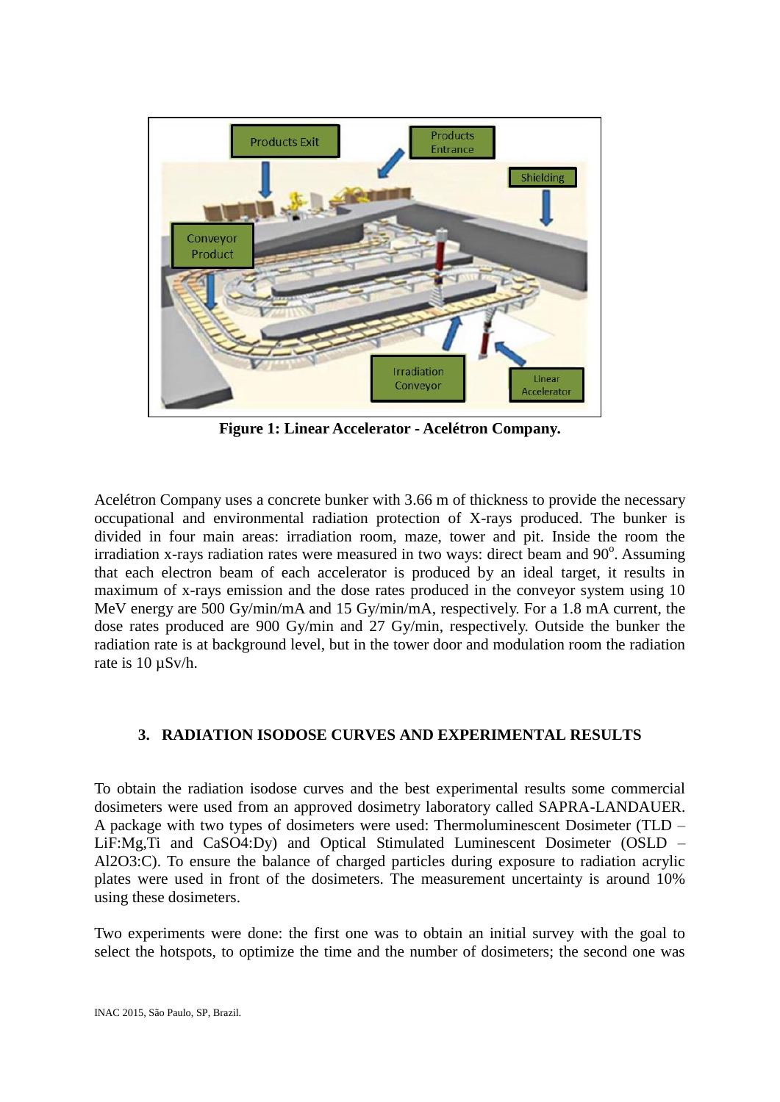

**Figure 1: Linear Accelerator - Acelétron Company.**

Acelétron Company uses a concrete bunker with 3.66 m of thickness to provide the necessary occupational and environmental radiation protection of X-rays produced. The bunker is divided in four main areas: irradiation room, maze, tower and pit. Inside the room the irradiation x-rays radiation rates were measured in two ways: direct beam and  $90^\circ$ . Assuming that each electron beam of each accelerator is produced by an ideal target, it results in maximum of x-rays emission and the dose rates produced in the conveyor system using 10 MeV energy are 500 Gy/min/mA and 15 Gy/min/mA, respectively. For a 1.8 mA current, the dose rates produced are 900 Gy/min and 27 Gy/min, respectively. Outside the bunker the radiation rate is at background level, but in the tower door and modulation room the radiation rate is 10 µSv/h.

## **3. RADIATION ISODOSE CURVES AND EXPERIMENTAL RESULTS**

To obtain the radiation isodose curves and the best experimental results some commercial dosimeters were used from an approved dosimetry laboratory called SAPRA-LANDAUER. A package with two types of dosimeters were used: Thermoluminescent Dosimeter (TLD – LiF:Mg,Ti and CaSO4:Dy) and Optical Stimulated Luminescent Dosimeter (OSLD – Al2O3:C). To ensure the balance of charged particles during exposure to radiation acrylic plates were used in front of the dosimeters. The measurement uncertainty is around 10% using these dosimeters.

Two experiments were done: the first one was to obtain an initial survey with the goal to select the hotspots, to optimize the time and the number of dosimeters; the second one was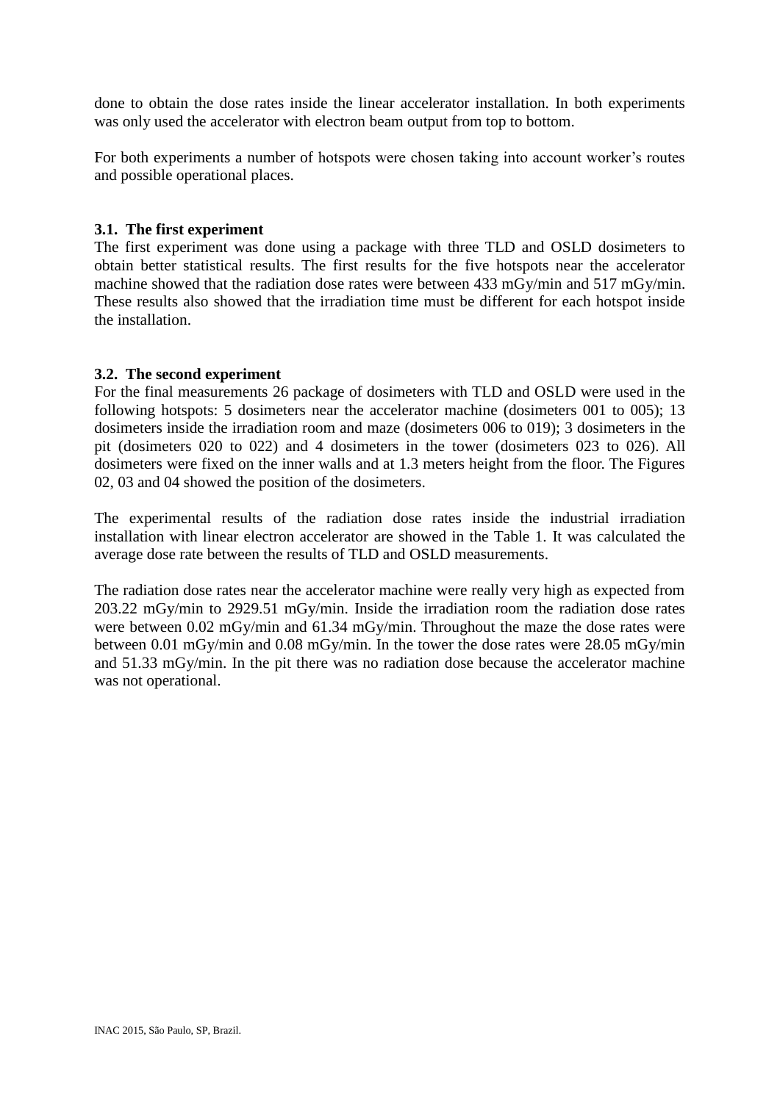done to obtain the dose rates inside the linear accelerator installation. In both experiments was only used the accelerator with electron beam output from top to bottom.

For both experiments a number of hotspots were chosen taking into account worker's routes and possible operational places.

### **3.1. The first experiment**

The first experiment was done using a package with three TLD and OSLD dosimeters to obtain better statistical results. The first results for the five hotspots near the accelerator machine showed that the radiation dose rates were between 433 mGy/min and 517 mGy/min. These results also showed that the irradiation time must be different for each hotspot inside the installation.

## **3.2. The second experiment**

For the final measurements 26 package of dosimeters with TLD and OSLD were used in the following hotspots: 5 dosimeters near the accelerator machine (dosimeters 001 to 005); 13 dosimeters inside the irradiation room and maze (dosimeters 006 to 019); 3 dosimeters in the pit (dosimeters 020 to 022) and 4 dosimeters in the tower (dosimeters 023 to 026). All dosimeters were fixed on the inner walls and at 1.3 meters height from the floor. The Figures 02, 03 and 04 showed the position of the dosimeters.

The experimental results of the radiation dose rates inside the industrial irradiation installation with linear electron accelerator are showed in the Table 1. It was calculated the average dose rate between the results of TLD and OSLD measurements.

The radiation dose rates near the accelerator machine were really very high as expected from 203.22 mGy/min to 2929.51 mGy/min. Inside the irradiation room the radiation dose rates were between 0.02 mGy/min and 61.34 mGy/min. Throughout the maze the dose rates were between 0.01 mGy/min and 0.08 mGy/min. In the tower the dose rates were 28.05 mGy/min and 51.33 mGy/min. In the pit there was no radiation dose because the accelerator machine was not operational.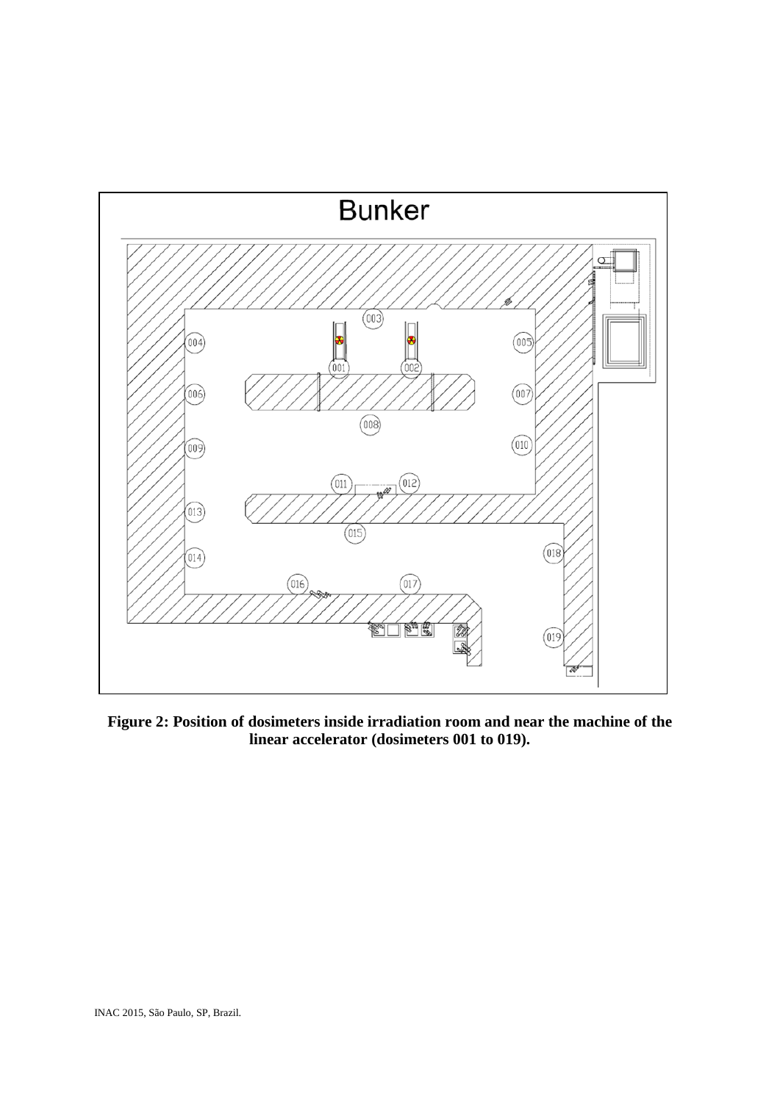

**Figure 2: Position of dosimeters inside irradiation room and near the machine of the linear accelerator (dosimeters 001 to 019).**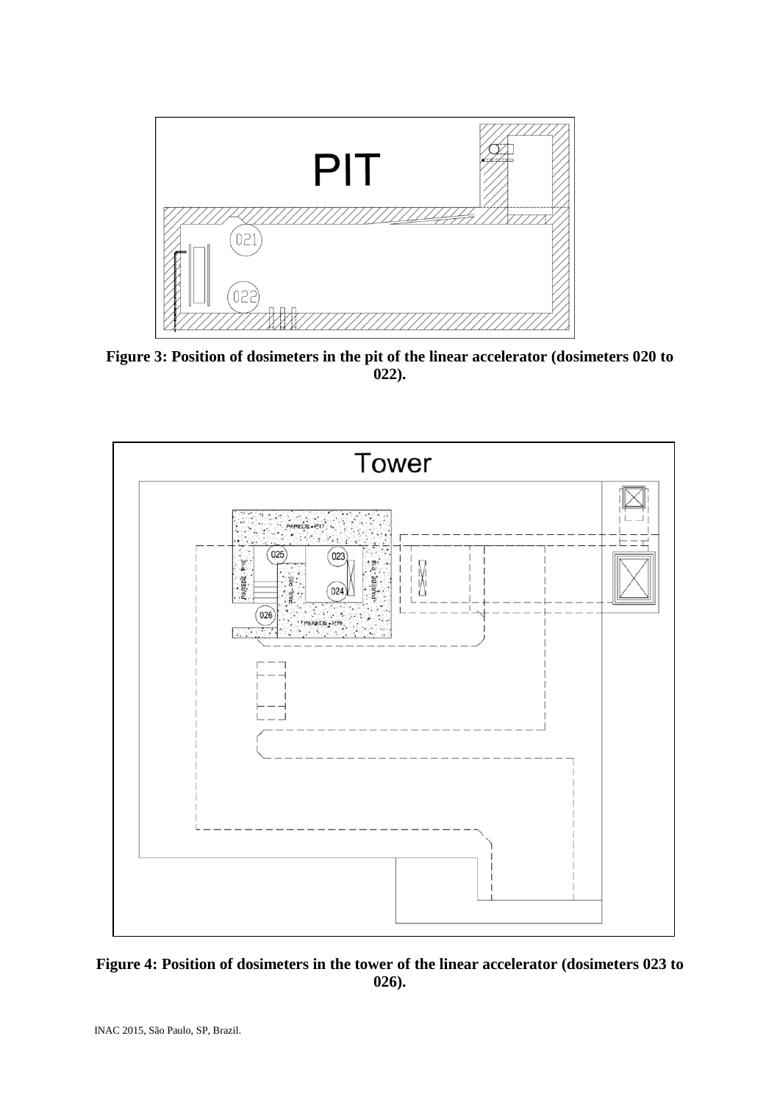

**Figure 3: Position of dosimeters in the pit of the linear accelerator (dosimeters 020 to 022).**



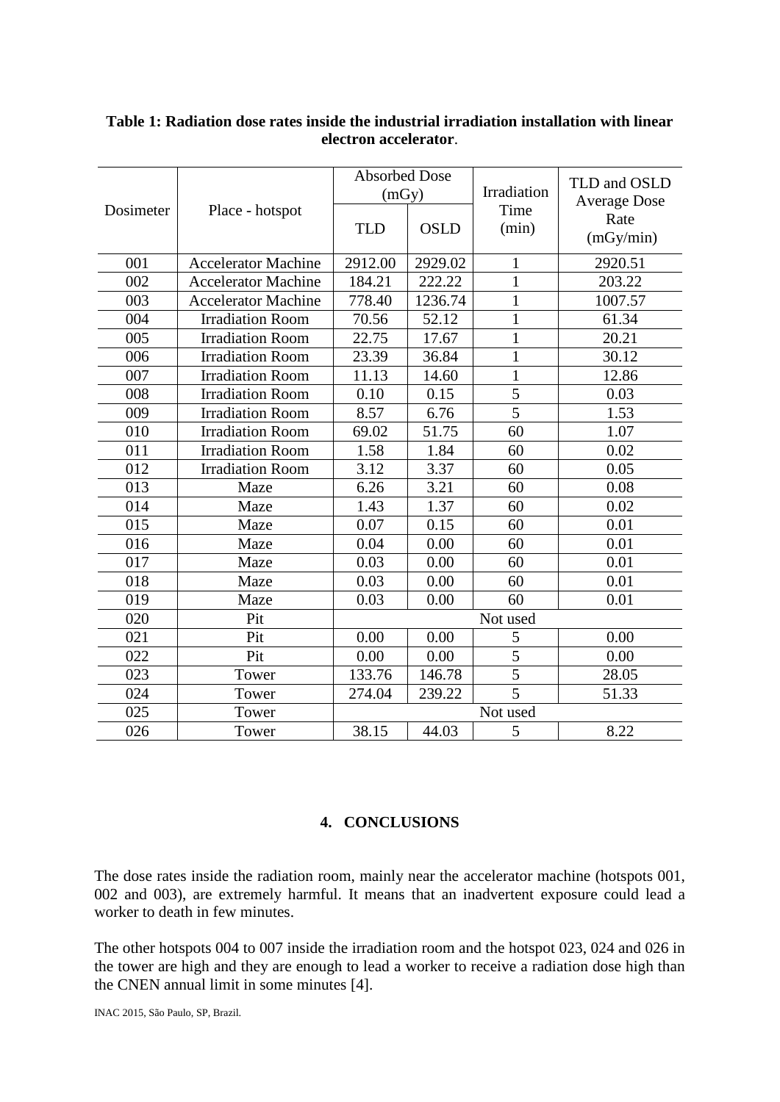|           |                            | <b>Absorbed Dose</b> |             | Irradiation    | TLD and OSLD<br><b>Average Dose</b> |
|-----------|----------------------------|----------------------|-------------|----------------|-------------------------------------|
|           |                            | (mGy)                |             |                |                                     |
| Dosimeter | Place - hotspot            | <b>TLD</b>           | <b>OSLD</b> | Time<br>(min)  | Rate                                |
|           |                            |                      |             |                | (mGy/min)                           |
| 001       | <b>Accelerator Machine</b> | 2912.00              | 2929.02     | $\mathbf{1}$   | 2920.51                             |
| 002       | <b>Accelerator Machine</b> | 184.21               | 222.22      | $\mathbf{1}$   | 203.22                              |
| 003       | <b>Accelerator Machine</b> | 778.40               | 1236.74     | $\mathbf{1}$   | 1007.57                             |
| 004       | <b>Irradiation Room</b>    | 70.56                | 52.12       | $\mathbf{1}$   | 61.34                               |
| 005       | <b>Irradiation Room</b>    | 22.75                | 17.67       | 1              | 20.21                               |
| 006       | <b>Irradiation Room</b>    | 23.39                | 36.84       | $\mathbf{1}$   | 30.12                               |
| 007       | <b>Irradiation Room</b>    | 11.13                | 14.60       | 1              | 12.86                               |
| 008       | <b>Irradiation Room</b>    | 0.10                 | 0.15        | 5              | 0.03                                |
| 009       | <b>Irradiation Room</b>    | 8.57                 | 6.76        | $\overline{5}$ | 1.53                                |
| 010       | <b>Irradiation Room</b>    | 69.02                | 51.75       | 60             | 1.07                                |
| 011       | <b>Irradiation Room</b>    | 1.58                 | 1.84        | 60             | 0.02                                |
| 012       | <b>Irradiation Room</b>    | 3.12                 | 3.37        | 60             | 0.05                                |
| 013       | Maze                       | 6.26                 | 3.21        | 60             | 0.08                                |
| 014       | Maze                       | 1.43                 | 1.37        | 60             | 0.02                                |
| 015       | Maze                       | 0.07                 | 0.15        | 60             | 0.01                                |
| 016       | Maze                       | 0.04                 | 0.00        | 60             | 0.01                                |
| 017       | Maze                       | 0.03                 | 0.00        | 60             | 0.01                                |
| 018       | Maze                       | 0.03                 | 0.00        | 60             | 0.01                                |
| 019       | Maze                       | 0.03                 | 0.00        | 60             | 0.01                                |
| 020       | Pit                        | Not used             |             |                |                                     |
| 021       | Pit                        | 0.00                 | 0.00        | 5              | 0.00                                |
| 022       | Pit                        | 0.00                 | 0.00        | 5              | 0.00                                |
| 023       | Tower                      | 133.76               | 146.78      | $\overline{5}$ | 28.05                               |
| 024       | Tower                      | 274.04               | 239.22      | $\overline{5}$ | 51.33                               |
| 025       | Tower                      | Not used             |             |                |                                     |
| 026       | Tower                      | 38.15                | 44.03       | 5              | 8.22                                |

## **Table 1: Radiation dose rates inside the industrial irradiation installation with linear electron accelerator**.

### **4. CONCLUSIONS**

The dose rates inside the radiation room, mainly near the accelerator machine (hotspots 001, 002 and 003), are extremely harmful. It means that an inadvertent exposure could lead a worker to death in few minutes.

The other hotspots 004 to 007 inside the irradiation room and the hotspot 023, 024 and 026 in the tower are high and they are enough to lead a worker to receive a radiation dose high than the CNEN annual limit in some minutes [4].

INAC 2015, São Paulo, SP, Brazil.